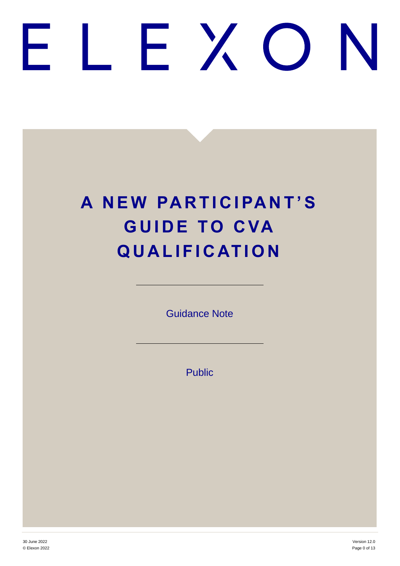# FXO

# **A N E W PA R T I C I PA N T 'S GUIDE TO CVA Q U A L I F I C AT I O N**

Guidance Note

Public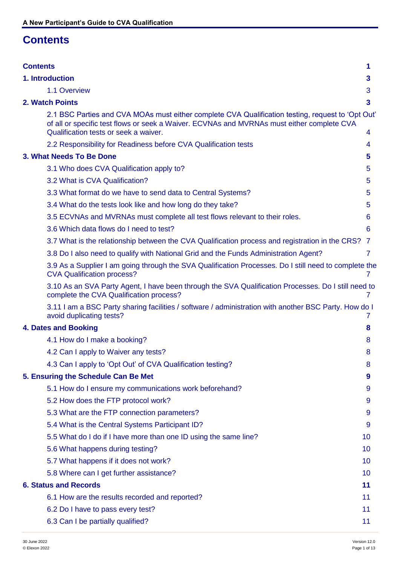# <span id="page-1-0"></span>**Contents**

| <b>Contents</b>                                                                                                                                                                                                                          | 1              |
|------------------------------------------------------------------------------------------------------------------------------------------------------------------------------------------------------------------------------------------|----------------|
| 1. Introduction                                                                                                                                                                                                                          | 3              |
| 1.1 Overview                                                                                                                                                                                                                             | 3              |
| 2. Watch Points                                                                                                                                                                                                                          | 3              |
| 2.1 BSC Parties and CVA MOAs must either complete CVA Qualification testing, request to 'Opt Out'<br>of all or specific test flows or seek a Waiver. ECVNAs and MVRNAs must either complete CVA<br>Qualification tests or seek a waiver. | 4              |
| 2.2 Responsibility for Readiness before CVA Qualification tests                                                                                                                                                                          | 4              |
| 3. What Needs To Be Done                                                                                                                                                                                                                 | 5              |
| 3.1 Who does CVA Qualification apply to?                                                                                                                                                                                                 | 5              |
| 3.2 What is CVA Qualification?                                                                                                                                                                                                           | 5              |
| 3.3 What format do we have to send data to Central Systems?                                                                                                                                                                              | 5              |
| 3.4 What do the tests look like and how long do they take?                                                                                                                                                                               | 5              |
| 3.5 ECVNAs and MVRNAs must complete all test flows relevant to their roles.                                                                                                                                                              | 6              |
| 3.6 Which data flows do I need to test?                                                                                                                                                                                                  | 6              |
| 3.7 What is the relationship between the CVA Qualification process and registration in the CRS?                                                                                                                                          | - 7            |
| 3.8 Do I also need to qualify with National Grid and the Funds Administration Agent?                                                                                                                                                     | $\overline{7}$ |
| 3.9 As a Supplier I am going through the SVA Qualification Processes. Do I still need to complete the<br><b>CVA Qualification process?</b>                                                                                               | 7              |
| 3.10 As an SVA Party Agent, I have been through the SVA Qualification Processes. Do I still need to<br>complete the CVA Qualification process?                                                                                           |                |
| 3.11 I am a BSC Party sharing facilities / software / administration with another BSC Party. How do I<br>avoid duplicating tests?                                                                                                        |                |
| <b>4. Dates and Booking</b>                                                                                                                                                                                                              | 8              |
| 4.1 How do I make a booking?                                                                                                                                                                                                             | 8              |
| 4.2 Can I apply to Waiver any tests?                                                                                                                                                                                                     | 8              |
| 4.3 Can I apply to 'Opt Out' of CVA Qualification testing?                                                                                                                                                                               | 8              |
| 5. Ensuring the Schedule Can Be Met                                                                                                                                                                                                      | 9              |
| 5.1 How do I ensure my communications work beforehand?                                                                                                                                                                                   | 9              |
| 5.2 How does the FTP protocol work?                                                                                                                                                                                                      | 9              |
| 5.3 What are the FTP connection parameters?                                                                                                                                                                                              | 9              |
| 5.4 What is the Central Systems Participant ID?                                                                                                                                                                                          | 9              |
| 5.5 What do I do if I have more than one ID using the same line?                                                                                                                                                                         | 10             |
| 5.6 What happens during testing?                                                                                                                                                                                                         | 10             |
| 5.7 What happens if it does not work?                                                                                                                                                                                                    | 10             |
| 5.8 Where can I get further assistance?                                                                                                                                                                                                  | 10             |
| <b>6. Status and Records</b>                                                                                                                                                                                                             | 11             |
| 6.1 How are the results recorded and reported?                                                                                                                                                                                           | 11             |
| 6.2 Do I have to pass every test?                                                                                                                                                                                                        | 11             |
| 6.3 Can I be partially qualified?                                                                                                                                                                                                        | 11             |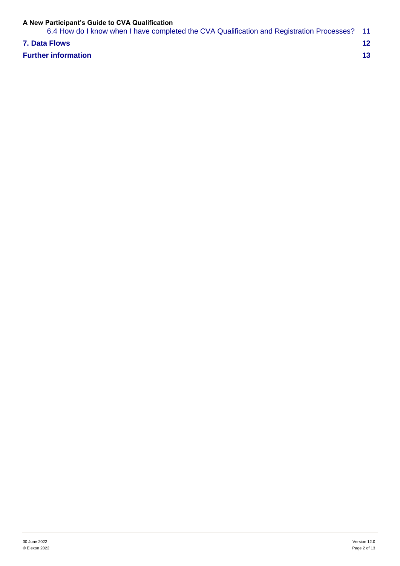| 6.4 How do I know when I have completed the CVA Qualification and Registration Processes? 11 |  |
|----------------------------------------------------------------------------------------------|--|
| <b>7. Data Flows</b>                                                                         |  |
| <b>Further information</b>                                                                   |  |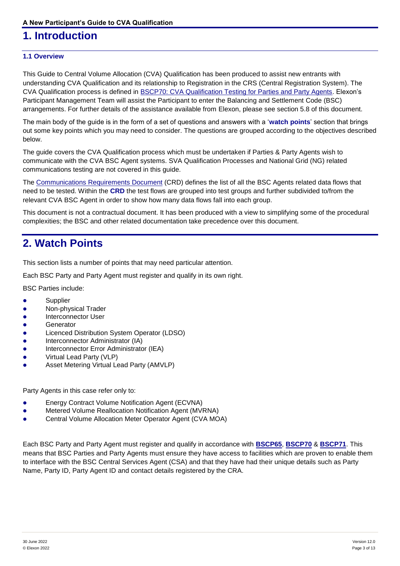# <span id="page-3-0"></span>**1. Introduction**

### <span id="page-3-1"></span>**1.1 Overview**

This Guide to Central Volume Allocation (CVA) Qualification has been produced to assist new entrants with understanding CVA Qualification and its relationship to Registration in the CRS (Central Registration System). The CVA Qualification process is defined in [BSCP70: CVA Qualification Testing for Parties and Party Agents.](https://www.elexon.co.uk/bsc-and-codes/bsc-related-documents/bscps/) Elexon's Participant Management Team will assist the Participant to enter the Balancing and Settlement Code (BSC) arrangements. For further details of the assistance available from Elexon, please see section 5.8 of this document.

The main body of the guide is in the form of a set of questions and answers with a '**watch points**' section that brings out some key points which you may need to consider. The questions are grouped according to the objectives described below.

The guide covers the CVA Qualification process which must be undertaken if Parties & Party Agents wish to communicate with the CVA BSC Agent systems. SVA Qualification Processes and National Grid (NG) related communications testing are not covered in this guide.

The [Communications Requirements Document](https://www.elexon.co.uk/bsc-and-codes/bsc-related-documents/business-definition-documents/) (CRD) defines the list of all the BSC Agents related data flows that need to be tested. Within the **CRD** the test flows are grouped into test groups and further subdivided to/from the relevant CVA BSC Agent in order to show how many data flows fall into each group.

This document is not a contractual document. It has been produced with a view to simplifying some of the procedural complexities; the BSC and other related documentation take precedence over this document.

# <span id="page-3-2"></span>**2. Watch Points**

This section lists a number of points that may need particular attention.

Each BSC Party and Party Agent must register and qualify in its own right.

BSC Parties include:

- **•** Supplier
- Non-physical Trader
- Interconnector User
- **Generator**
- **•** Licenced Distribution System Operator (LDSO)
- Interconnector Administrator (IA)
- Interconnector Error Administrator (IEA)
- Virtual Lead Party (VLP)
- Asset Metering Virtual Lead Party (AMVLP)

Party Agents in this case refer only to:

- Energy Contract Volume Notification Agent (ECVNA)
- Metered Volume Reallocation Notification Agent (MVRNA)
- Central Volume Allocation Meter Operator Agent (CVA MOA)

Each BSC Party and Party Agent must register and qualify in accordance with **[BSCP65](https://www.elexon.co.uk/csd/bscp65-registration-of-parties-and-exit-procedures/)**, **[BSCP70](https://www.elexon.co.uk/csd/bscp70-cva-qualification-testing-for-parties-and-party-agents/)** & **[BSCP71](https://www.elexon.co.uk/csd/bscp71-submission-of-ecvns-and-mvrns/)**. This means that BSC Parties and Party Agents must ensure they have access to facilities which are proven to enable them to interface with the BSC Central Services Agent (CSA) and that they have had their unique details such as Party Name, Party ID, Party Agent ID and contact details registered by the CRA.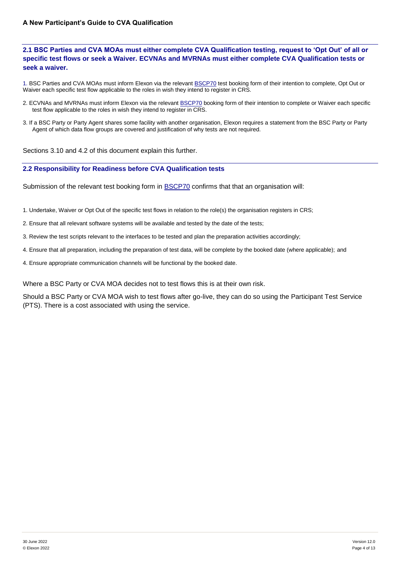### <span id="page-4-0"></span>**2.1 BSC Parties and CVA MOAs must either complete CVA Qualification testing, request to 'Opt Out' of all or specific test flows or seek a Waiver. ECVNAs and MVRNAs must either complete CVA Qualification tests or seek a waiver.**

1. BSC Parties and CVA MOAs must inform Elexon via the relevant **BSCP70** test booking form of their intention to complete, Opt Out or Waiver each specific test flow applicable to the roles in wish they intend to register in CRS.

- 2. ECVNAs and MVRNAs must inform Elexon via the relevant **BSCP70** booking form of their intention to complete or Waiver each specific test flow applicable to the roles in wish they intend to register in CRS.
- 3. If a BSC Party or Party Agent shares some facility with another organisation, Elexon requires a statement from the BSC Party or Party Agent of which data flow groups are covered and justification of why tests are not required.

Sections 3.10 and 4.2 of this document explain this further.

### <span id="page-4-1"></span>**2.2 Responsibility for Readiness before CVA Qualification tests**

Submission of the relevant test booking form in **BSCP70** confirms that that an organisation will:

- 1. Undertake, Waiver or Opt Out of the specific test flows in relation to the role(s) the organisation registers in CRS;
- 2. Ensure that all relevant software systems will be available and tested by the date of the tests;
- 3. Review the test scripts relevant to the interfaces to be tested and plan the preparation activities accordingly;
- 4. Ensure that all preparation, including the preparation of test data, will be complete by the booked date (where applicable); and
- 4. Ensure appropriate communication channels will be functional by the booked date.

Where a BSC Party or CVA MOA decides not to test flows this is at their own risk.

Should a BSC Party or CVA MOA wish to test flows after go-live, they can do so using the Participant Test Service (PTS). There is a cost associated with using the service.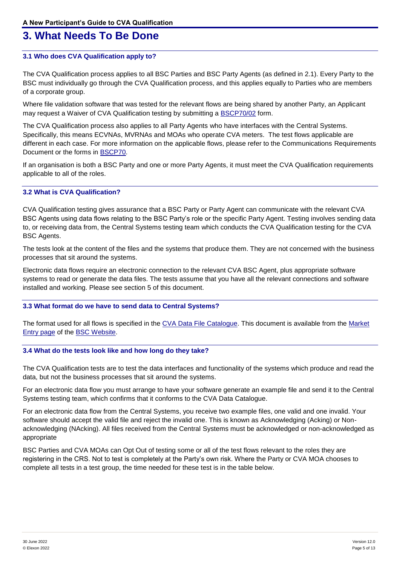# <span id="page-5-0"></span>**3. What Needs To Be Done**

### <span id="page-5-1"></span>**3.1 Who does CVA Qualification apply to?**

The CVA Qualification process applies to all BSC Parties and BSC Party Agents (as defined in 2.1). Every Party to the BSC must individually go through the CVA Qualification process, and this applies equally to Parties who are members of a corporate group.

Where file validation software that was tested for the relevant flows are being shared by another Party, an Applicant may request a Waiver of CVA Qualification testing by submitting a [BSCP70/02](https://www.elexon.co.uk/csd/bscp70-cva-qualification-testing-for-parties-and-party-agents/) form.

The CVA Qualification process also applies to all Party Agents who have interfaces with the Central Systems. Specifically, this means ECVNAs, MVRNAs and MOAs who operate CVA meters. The test flows applicable are different in each case. For more information on the applicable flows, please refer to the Communications Requirements Document or the forms in [BSCP70.](https://www.elexon.co.uk/csd/bscp70-cva-qualification-testing-for-parties-and-party-agents/)

If an organisation is both a BSC Party and one or more Party Agents, it must meet the CVA Qualification requirements applicable to all of the roles.

### <span id="page-5-2"></span>**3.2 What is CVA Qualification?**

CVA Qualification testing gives assurance that a BSC Party or Party Agent can communicate with the relevant CVA BSC Agents using data flows relating to the BSC Party's role or the specific Party Agent. Testing involves sending data to, or receiving data from, the Central Systems testing team which conducts the CVA Qualification testing for the CVA BSC Agents.

The tests look at the content of the files and the systems that produce them. They are not concerned with the business processes that sit around the systems.

Electronic data flows require an electronic connection to the relevant CVA BSC Agent, plus appropriate software systems to read or generate the data files. The tests assume that you have all the relevant connections and software installed and working. Please see section 5 of this document.

### <span id="page-5-3"></span>**3.3 What format do we have to send data to Central Systems?**

The format used for all flows is specified in the [CVA Data File Catalogue.](https://www.elexon.co.uk/bsc-and-codes/bsc-related-documents/business-definition-documents/) This document is available from the Market [Entry page](http://www.elexon.co.uk/reference/market-entry/) of the [BSC Website.](https://www.elexon.co.uk/)

### <span id="page-5-4"></span>**3.4 What do the tests look like and how long do they take?**

The CVA Qualification tests are to test the data interfaces and functionality of the systems which produce and read the data, but not the business processes that sit around the systems.

For an electronic data flow you must arrange to have your software generate an example file and send it to the Central Systems testing team, which confirms that it conforms to the CVA Data Catalogue.

For an electronic data flow from the Central Systems, you receive two example files, one valid and one invalid. Your software should accept the valid file and reject the invalid one. This is known as Acknowledging (Acking) or Nonacknowledging (NAcking). All files received from the Central Systems must be acknowledged or non-acknowledged as appropriate

BSC Parties and CVA MOAs can Opt Out of testing some or all of the test flows relevant to the roles they are registering in the CRS. Not to test is completely at the Party's own risk. Where the Party or CVA MOA chooses to complete all tests in a test group, the time needed for these test is in the table below.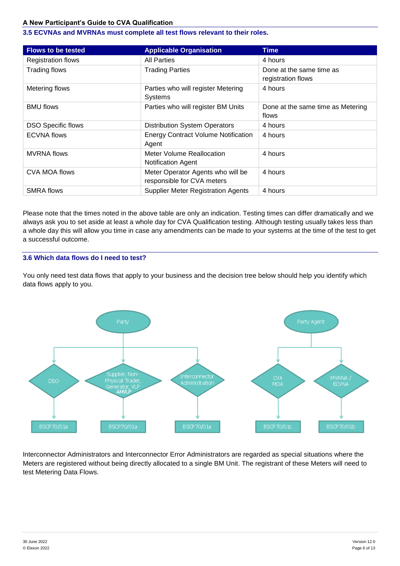### <span id="page-6-0"></span>**3.5 ECVNAs and MVRNAs must complete all test flows relevant to their roles.**

| <b>Flows to be tested</b> | <b>Applicable Organisation</b>                                  | Time                                           |
|---------------------------|-----------------------------------------------------------------|------------------------------------------------|
| <b>Registration flows</b> | <b>All Parties</b>                                              | 4 hours                                        |
| Trading flows             | <b>Trading Parties</b>                                          | Done at the same time as<br>registration flows |
| Metering flows            | Parties who will register Metering<br>Systems                   | 4 hours                                        |
| <b>BMU flows</b>          | Parties who will register BM Units                              | Done at the same time as Metering<br>flows     |
| <b>DSO Specific flows</b> | <b>Distribution System Operators</b>                            | 4 hours                                        |
| <b>ECVNA flows</b>        | <b>Energy Contract Volume Notification</b><br>Agent             | 4 hours                                        |
| <b>MVRNA</b> flows        | Meter Volume Reallocation<br>Notification Agent                 | 4 hours                                        |
| CVA MOA flows             | Meter Operator Agents who will be<br>responsible for CVA meters | 4 hours                                        |
| <b>SMRA flows</b>         | <b>Supplier Meter Registration Agents</b>                       | 4 hours                                        |

Please note that the times noted in the above table are only an indication. Testing times can differ dramatically and we always ask you to set aside at least a whole day for CVA Qualification testing. Although testing usually takes less than a whole day this will allow you time in case any amendments can be made to your systems at the time of the test to get a successful outcome.

### <span id="page-6-1"></span>**3.6 Which data flows do I need to test?**

You only need test data flows that apply to your business and the decision tree below should help you identify which data flows apply to you.



Interconnector Administrators and Interconnector Error Administrators are regarded as special situations where the Meters are registered without being directly allocated to a single BM Unit. The registrant of these Meters will need to test Metering Data Flows.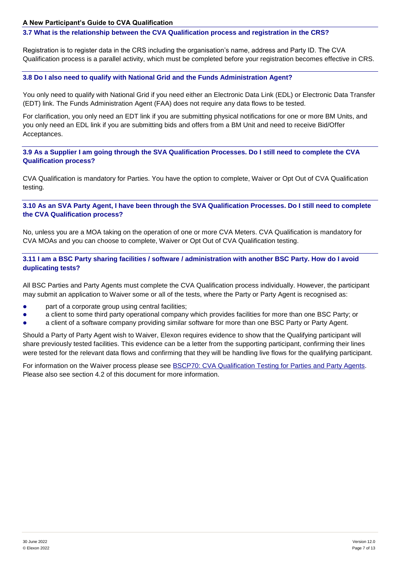### <span id="page-7-0"></span>**3.7 What is the relationship between the CVA Qualification process and registration in the CRS?**

Registration is to register data in the CRS including the organisation's name, address and Party ID. The CVA Qualification process is a parallel activity, which must be completed before your registration becomes effective in CRS.

### <span id="page-7-1"></span>**3.8 Do I also need to qualify with National Grid and the Funds Administration Agent?**

You only need to qualify with National Grid if you need either an Electronic Data Link (EDL) or Electronic Data Transfer (EDT) link. The Funds Administration Agent (FAA) does not require any data flows to be tested.

For clarification, you only need an EDT link if you are submitting physical notifications for one or more BM Units, and you only need an EDL link if you are submitting bids and offers from a BM Unit and need to receive Bid/Offer Acceptances.

<span id="page-7-2"></span>**3.9 As a Supplier I am going through the SVA Qualification Processes. Do I still need to complete the CVA Qualification process?**

CVA Qualification is mandatory for Parties. You have the option to complete, Waiver or Opt Out of CVA Qualification testing.

<span id="page-7-3"></span>**3.10 As an SVA Party Agent, I have been through the SVA Qualification Processes. Do I still need to complete the CVA Qualification process?**

No, unless you are a MOA taking on the operation of one or more CVA Meters. CVA Qualification is mandatory for CVA MOAs and you can choose to complete, Waiver or Opt Out of CVA Qualification testing.

<span id="page-7-4"></span>**3.11 I am a BSC Party sharing facilities / software / administration with another BSC Party. How do I avoid duplicating tests?**

All BSC Parties and Party Agents must complete the CVA Qualification process individually. However, the participant may submit an application to Waiver some or all of the tests, where the Party or Party Agent is recognised as:

- **•** part of a corporate group using central facilities;
- a client to some third party operational company which provides facilities for more than one BSC Party; or
- a client of a software company providing similar software for more than one BSC Party or Party Agent.

Should a Party of Party Agent wish to Waiver, Elexon requires evidence to show that the Qualifying participant will share previously tested facilities. This evidence can be a letter from the supporting participant, confirming their lines were tested for the relevant data flows and confirming that they will be handling live flows for the qualifying participant.

For information on the Waiver process please see [BSCP70: CVA Qualification Testing for Parties and Party Agents.](https://www.elexon.co.uk/csd/bscp70-cva-qualification-testing-for-parties-and-party-agents/) Please also see section 4.2 of this document for more information.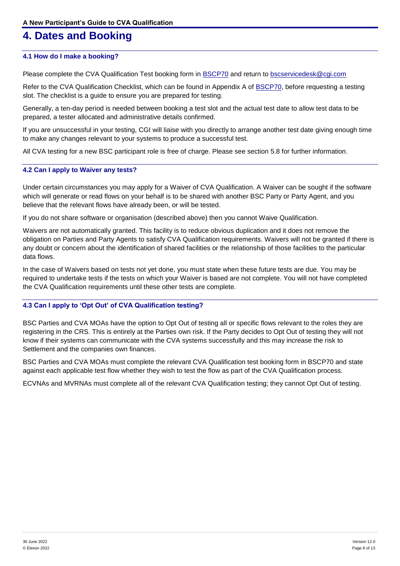# <span id="page-8-0"></span>**4. Dates and Booking**

### <span id="page-8-1"></span>**4.1 How do I make a booking?**

Please complete the CVA Qualification Test booking form in **BSCP70** and return to [bscservicedesk@cgi.com](mailto:bscservicedesk@cgi.com)

Refer to the CVA Qualification Checklist, which can be found in Appendix A of [BSCP70,](https://www.elexon.co.uk/csd/bscp70-cva-qualification-testing-for-parties-and-party-agents/) before requesting a testing slot. The checklist is a guide to ensure you are prepared for testing.

Generally, a ten-day period is needed between booking a test slot and the actual test date to allow test data to be prepared, a tester allocated and administrative details confirmed.

If you are unsuccessful in your testing, CGI will liaise with you directly to arrange another test date giving enough time to make any changes relevant to your systems to produce a successful test.

All CVA testing for a new BSC participant role is free of charge. Please see section 5.8 for further information.

### <span id="page-8-2"></span>**4.2 Can I apply to Waiver any tests?**

Under certain circumstances you may apply for a Waiver of CVA Qualification. A Waiver can be sought if the software which will generate or read flows on your behalf is to be shared with another BSC Party or Party Agent, and you believe that the relevant flows have already been, or will be tested.

If you do not share software or organisation (described above) then you cannot Waive Qualification.

Waivers are not automatically granted. This facility is to reduce obvious duplication and it does not remove the obligation on Parties and Party Agents to satisfy CVA Qualification requirements. Waivers will not be granted if there is any doubt or concern about the identification of shared facilities or the relationship of those facilities to the particular data flows.

In the case of Waivers based on tests not yet done, you must state when these future tests are due. You may be required to undertake tests if the tests on which your Waiver is based are not complete. You will not have completed the CVA Qualification requirements until these other tests are complete.

### <span id="page-8-3"></span>**4.3 Can I apply to 'Opt Out' of CVA Qualification testing?**

BSC Parties and CVA MOAs have the option to Opt Out of testing all or specific flows relevant to the roles they are registering in the CRS. This is entirely at the Parties own risk. If the Party decides to Opt Out of testing they will not know if their systems can communicate with the CVA systems successfully and this may increase the risk to Settlement and the companies own finances.

BSC Parties and CVA MOAs must complete the relevant CVA Qualification test booking form in BSCP70 and state against each applicable test flow whether they wish to test the flow as part of the CVA Qualification process.

ECVNAs and MVRNAs must complete all of the relevant CVA Qualification testing; they cannot Opt Out of testing.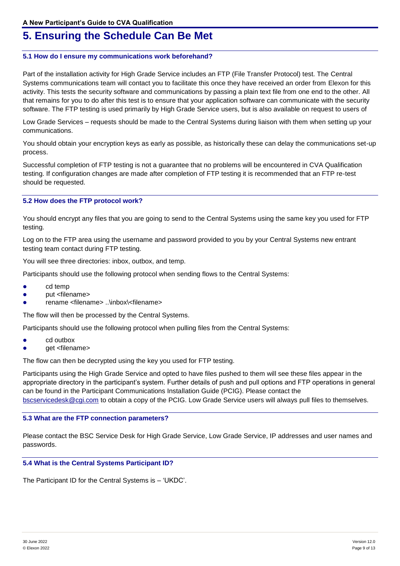# <span id="page-9-0"></span>**5. Ensuring the Schedule Can Be Met**

### <span id="page-9-1"></span>**5.1 How do I ensure my communications work beforehand?**

Part of the installation activity for High Grade Service includes an FTP (File Transfer Protocol) test. The Central Systems communications team will contact you to facilitate this once they have received an order from Elexon for this activity. This tests the security software and communications by passing a plain text file from one end to the other. All that remains for you to do after this test is to ensure that your application software can communicate with the security software. The FTP testing is used primarily by High Grade Service users, but is also available on request to users of

Low Grade Services – requests should be made to the Central Systems during liaison with them when setting up your communications.

You should obtain your encryption keys as early as possible, as historically these can delay the communications set-up process.

Successful completion of FTP testing is not a guarantee that no problems will be encountered in CVA Qualification testing. If configuration changes are made after completion of FTP testing it is recommended that an FTP re-test should be requested.

### <span id="page-9-2"></span>**5.2 How does the FTP protocol work?**

You should encrypt any files that you are going to send to the Central Systems using the same key you used for FTP testing.

Log on to the FTP area using the username and password provided to you by your Central Systems new entrant testing team contact during FTP testing.

You will see three directories: inbox, outbox, and temp.

Participants should use the following protocol when sending flows to the Central Systems:

- cd temp
- put <filename>
- rename <filename> ..\inbox\<filename>

The flow will then be processed by the Central Systems.

Participants should use the following protocol when pulling files from the Central Systems:

- cd outbox
- get <filename>

The flow can then be decrypted using the key you used for FTP testing.

Participants using the High Grade Service and opted to have files pushed to them will see these files appear in the appropriate directory in the participant's system. Further details of push and pull options and FTP operations in general can be found in the Participant Communications Installation Guide (PCIG). Please contact the [bscservicedesk@cgi.com](mailto:bscservicedesk@cgi.com) to obtain a copy of the PCIG. Low Grade Service users will always pull files to themselves.

### <span id="page-9-3"></span>**5.3 What are the FTP connection parameters?**

Please contact the BSC Service Desk for High Grade Service, Low Grade Service, IP addresses and user names and passwords.

### <span id="page-9-4"></span>**5.4 What is the Central Systems Participant ID?**

The Participant ID for the Central Systems is – 'UKDC'.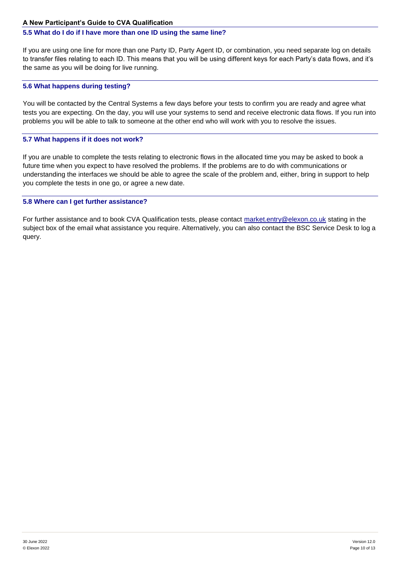### <span id="page-10-0"></span>**5.5 What do I do if I have more than one ID using the same line?**

If you are using one line for more than one Party ID, Party Agent ID, or combination, you need separate log on details to transfer files relating to each ID. This means that you will be using different keys for each Party's data flows, and it's the same as you will be doing for live running.

### <span id="page-10-1"></span>**5.6 What happens during testing?**

You will be contacted by the Central Systems a few days before your tests to confirm you are ready and agree what tests you are expecting. On the day, you will use your systems to send and receive electronic data flows. If you run into problems you will be able to talk to someone at the other end who will work with you to resolve the issues.

### <span id="page-10-2"></span>**5.7 What happens if it does not work?**

If you are unable to complete the tests relating to electronic flows in the allocated time you may be asked to book a future time when you expect to have resolved the problems. If the problems are to do with communications or understanding the interfaces we should be able to agree the scale of the problem and, either, bring in support to help you complete the tests in one go, or agree a new date.

### <span id="page-10-3"></span>**5.8 Where can I get further assistance?**

For further assistance and to book CVA Qualification tests, please contact [market.entry@elexon.co.uk](mailto:market.entry@elexon.co.uk) stating in the subject box of the email what assistance you require. Alternatively, you can also contact the BSC Service Desk to log a query.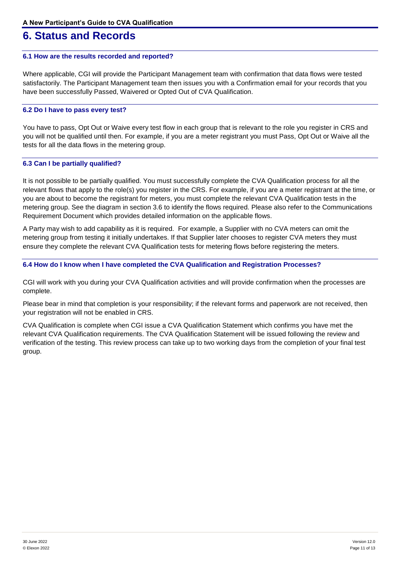## <span id="page-11-0"></span>**6. Status and Records**

### <span id="page-11-1"></span>**6.1 How are the results recorded and reported?**

Where applicable, CGI will provide the Participant Management team with confirmation that data flows were tested satisfactorily. The Participant Management team then issues you with a Confirmation email for your records that you have been successfully Passed, Waivered or Opted Out of CVA Qualification.

### <span id="page-11-2"></span>**6.2 Do I have to pass every test?**

You have to pass, Opt Out or Waive every test flow in each group that is relevant to the role you register in CRS and you will not be qualified until then. For example, if you are a meter registrant you must Pass, Opt Out or Waive all the tests for all the data flows in the metering group.

### <span id="page-11-3"></span>**6.3 Can I be partially qualified?**

It is not possible to be partially qualified. You must successfully complete the CVA Qualification process for all the relevant flows that apply to the role(s) you register in the CRS. For example, if you are a meter registrant at the time, or you are about to become the registrant for meters, you must complete the relevant CVA Qualification tests in the metering group. See the diagram in section 3.6 to identify the flows required. Please also refer to the Communications Requirement Document which provides detailed information on the applicable flows.

A Party may wish to add capability as it is required. For example, a Supplier with no CVA meters can omit the metering group from testing it initially undertakes. If that Supplier later chooses to register CVA meters they must ensure they complete the relevant CVA Qualification tests for metering flows before registering the meters.

### <span id="page-11-4"></span>**6.4 How do I know when I have completed the CVA Qualification and Registration Processes?**

CGI will work with you during your CVA Qualification activities and will provide confirmation when the processes are complete.

Please bear in mind that completion is your responsibility; if the relevant forms and paperwork are not received, then your registration will not be enabled in CRS.

CVA Qualification is complete when CGI issue a CVA Qualification Statement which confirms you have met the relevant CVA Qualification requirements. The CVA Qualification Statement will be issued following the review and verification of the testing. This review process can take up to two working days from the completion of your final test group.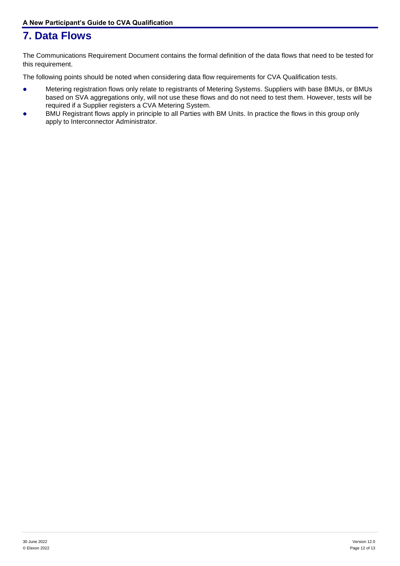# <span id="page-12-0"></span>**7. Data Flows**

The Communications Requirement Document contains the formal definition of the data flows that need to be tested for this requirement.

The following points should be noted when considering data flow requirements for CVA Qualification tests.

- Metering registration flows only relate to registrants of Metering Systems. Suppliers with base BMUs, or BMUs based on SVA aggregations only, will not use these flows and do not need to test them. However, tests will be required if a Supplier registers a CVA Metering System.
- BMU Registrant flows apply in principle to all Parties with BM Units. In practice the flows in this group only apply to Interconnector Administrator.